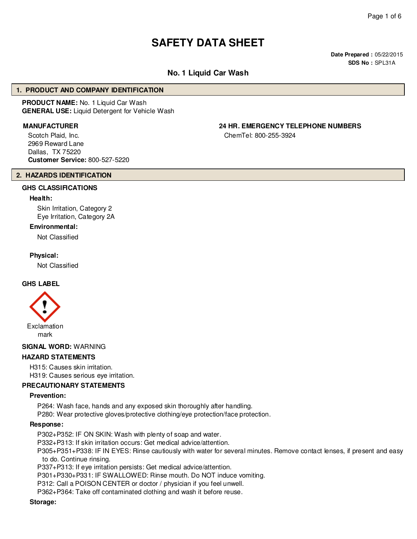# **SAFETY DATA SHEET**

**Date Prepared :** 05/22/2015 **SDS No :** SPL31A

## **No. 1 Liquid Car Wash**

## **1. PRODUCT AND COMPANY IDENTIFICATION**

**PRODUCT NAME:** No. 1 Liquid Car Wash **GENERAL USE:** Liquid Detergent for Vehicle Wash

Scotch Plaid, Inc. 2969 Reward Lane Dallas, TX 75220 **Customer Service:** 800-527-5220

## **2. HAZARDS IDENTIFICATION**

## **GHS CLASSIFICATIONS**

## **Health:**

Skin Irritation, Category 2 Eye Irritation, Category 2A

## **Environmental:**

Not Classified

#### **Physical:**

Not Classified

## **GHS LABEL**



**SIGNAL WORD:** WARNING

## **HAZARD STATEMENTS**

H315: Causes skin irritation. H319: Causes serious eye irritation.

## **PRECAUTIONARY STATEMENTS**

#### **Prevention:**

P264: Wash face, hands and any exposed skin thoroughly after handling.

P280: Wear protective gloves/protective clothing/eye protection/face protection.

## **Response:**

P302+P352: IF ON SKIN: Wash with plenty of soap and water.

P332+P313: If skin irritation occurs: Get medical advice/attention.

P305+P351+P338: IF IN EYES: Rinse cautiously with water for several minutes. Remove contact lenses, if present and easy to do. Continue rinsing.

P337+P313: If eye irritation persists: Get medical advice/attention.

P301+P330+P331: IF SWALLOWED: Rinse mouth. Do NOT induce vomiting.

P312: Call a POISON CENTER or doctor / physician if you feel unwell.

P362+P364: Take off contaminated clothing and wash it before reuse.

## **Storage:**

## **MANUFACTURER 24 HR. EMERGENCY TELEPHONE NUMBERS**

ChemTel: 800-255-3924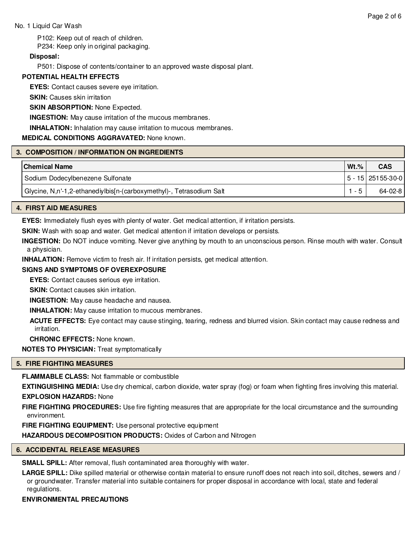P102: Keep out of reach of children.

P234: Keep only in original packaging.

## **Disposal:**

P501: Dispose of contents/container to an approved waste disposal plant.

## **POTENTIAL HEALTH EFFECTS**

**EYES:** Contact causes severe eye irritation.

**SKIN:** Causes skin irritation

## **SKIN ABSORPTION: None Expected.**

**INGESTION:** May cause irritation of the mucous membranes.

**INHALATION:** Inhalation may cause irritation to mucous membranes.

## **MEDICAL CONDITIONS AGGRAVATED:** None known.

## **3. COMPOSITION / INFORMATION ON INGREDIENTS**

| $Wt.\%$ | <b>CAS</b>           |
|---------|----------------------|
|         | 5 - 15   251 55-30-0 |
| $-5$    | $64-02-8$            |
|         |                      |

## **4. FIRST AID MEASURES**

**EYES:** Immediately flush eyes with plenty of water. Get medical attention, if irritation persists.

**SKIN:** Wash with soap and water. Get medical attention if irritation develops or persists.

**INGESTION:** Do NOT induce vomiting. Never give anything by mouth to an unconscious person. Rinse mouth with water. Consult a physician.

**INHALATION:** Remove victim to fresh air. If irritation persists, get medical attention.

## **SIGNS AND SYMPTOMS OF OVEREXPOSURE**

**EYES:** Contact causes serious eye irritation.

**SKIN:** Contact causes skin irritation.

**INGESTION:** May cause headache and nausea.

**INHALATION:** May cause irritation to mucous membranes.

**ACUTE EFFECTS:** Eye contact may cause stinging, tearing, redness and blurred vision. Skin contact may cause redness and irritation.

**CHRONIC EFFECTS:** None known.

**NOTES TO PHYSICIAN:** Treat symptomatically

## **5. FIRE FIGHTING MEASURES**

**FLAMMABLE CLASS:** Not flammable or combustible

**EXTINGUISHING MEDIA:** Use dry chemical, carbon dioxide, water spray (fog) or foam when fighting fires involving this material. **EXPLOSION HAZARDS:** None

**FIRE FIGHTING PROCEDURES:** Use fire fighting measures that are appropriate for the local circumstance and the surrounding environment.

**FIRE FIGHTING EQUIPMENT:** Use personal protective equipment

**HAZARDOUS DECOMPOSITION PRODUCTS:** Oxides of Carbon and Nitrogen

## **6. ACCIDENTAL RELEASE MEASURES**

**SMALL SPILL:** After removal, flush contaminated area thoroughly with water.

**LARGE SPILL:** Dike spilled material or otherwise contain material to ensure runoff does not reach into soil, ditches, sewers and / or groundwater. Transfer material into suitable containers for proper disposal in accordance with local, state and federal regulations.

## **ENVIRONMENTAL PRECAUTIONS**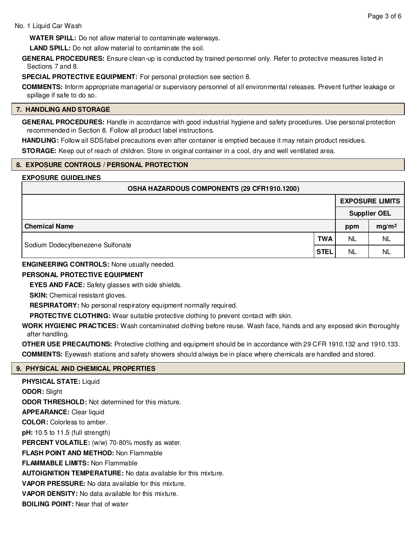**WATER SPILL:** Do not allow material to contaminate waterways.

**LAND SPILL:** Do not allow material to contaminate the soil.

**GENERAL PROCEDURES:** Ensure clean-up is conducted by trained personnel only. Refer to protective measures listed in Sections 7 and 8.

**SPECIAL PROTECTIVE EQUIPMENT:** For personal protection see section 8.

**COMMENTS:** Inform appropriate managerial or supervisory personnel of all environmental releases. Prevent further leakage or spillage if safe to do so.

## **7. HANDLING AND STORAGE**

**GENERAL PROCEDURES:** Handle in accordance with good industrial hygiene and safety procedures. Use personal protection recommended in Section 8. Follow all product label instructions.

**HANDLING:** Follow all SDS/label precautions even after container is emptied because it may retain product residues.

**STORAGE:** Keep out of reach of children. Store in original container in a cool, dry and well ventilated area.

## **8. EXPOSURE CONTROLS / PERSONAL PROTECTION**

## **EXPOSURE GUIDELINES**

| OSHA HAZARDOUS COMPONENTS (29 CFR1910.1200) |             |                        |                     |  |  |  |  |
|---------------------------------------------|-------------|------------------------|---------------------|--|--|--|--|
|                                             |             | <b>EXPOSURE LIMITS</b> |                     |  |  |  |  |
|                                             |             |                        | <b>Supplier OEL</b> |  |  |  |  |
| <b>Chemical Name</b>                        |             | ppm                    | mg/m <sup>3</sup>   |  |  |  |  |
| Sodium Dodecylbenezene Sulfonate            | <b>TWA</b>  | ΝL                     | <b>NL</b>           |  |  |  |  |
|                                             | <b>STEL</b> | <b>NL</b>              | <b>NL</b>           |  |  |  |  |

**ENGINEERING CONTROLS:** None usually needed.

## **PERSONAL PROTECTIVE EQUIPMENT**

**EYES AND FACE:** Safety glasses with side shields.

**SKIN:** Chemical resistant gloves.

**RESPIRATORY:** No personal respiratory equipment normally required.

**PROTECTIVE CLOTHING:** Wear suitable protective clothing to prevent contact with skin.

**WORK HYGIENIC PRACTICES:** Wash contaminated clothing before reuse. Wash face, hands and any exposed skin thoroughly after handling.

**OTHER USE PRECAUTIONS:** Protective clothing and equipment should be in accordance with 29 CFR 1910.132 and 1910.133. **COMMENTS:** Eyewash stations and safety showers should always be in place where chemicals are handled and stored.

## **9. PHYSICAL AND CHEMICAL PROPERTIES**

**PHYSICAL STATE:** Liquid **ODOR:** Slight **ODOR THRESHOLD:** Not determined for this mixture. **APPEARANCE:** Clear liquid **COLOR:** Colorless to amber. **pH:** 10.5 to 11.5 (full strength) **PERCENT VOLATILE:** (w/w) 70-80% mostly as water. **FLASH POINT AND METHOD:** Non Flammable **FLAMMABLE LIMITS:** Non Flammable **AUTOIGNITION TEMPERATURE:** No data available for this mixture. **VAPOR PRESSURE:** No data available for this mixture. **VAPOR DENSITY:** No data available for this mixture. **BOILING POINT:** Near that of water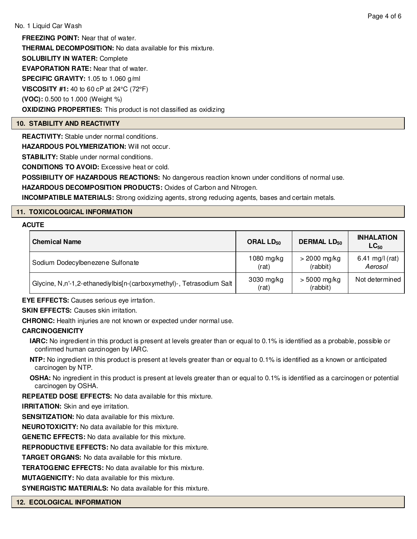**FREEZING POINT:** Near that of water. **THERMAL DECOMPOSITION:** No data available for this mixture. **SOLUBILITY IN WATER:** Complete **EVAPORATION RATE:** Near that of water. **SPECIFIC GRAVITY:** 1.05 to 1.060 g/ml **VISCOSITY #1:** 40 to 60 cP at 24°C (72°F) **(VOC):** 0.500 to 1.000 (Weight %) **OXIDIZING PROPERTIES:** This product is not classified as oxidizing

## **10. STABILITY AND REACTIVITY**

**REACTIVITY:** Stable under normal conditions.

**HAZARDOUS POLYMERIZATION:** Will not occur.

**STABILITY:** Stable under normal conditions.

**CONDITIONS TO AVOID:** Excessive heat or cold.

**POSSIBILITY OF HAZARDOUS REACTIONS:** No dangerous reaction known under conditions of normal use.

**HAZARDOUS DECOMPOSITION PRODUCTS:** Oxides of Carbon and Nitrogen.

**INCOMPATIBLE MATERIALS:** Strong oxidizing agents, strong reducing agents, bases and certain metals.

## **11. TOXICOLOGICAL INFORMATION**

## **ACUTE**

| <b>Chemical Name</b>                                                 | ORAL LD <sub>50</sub> | <b>DERMAL LD<sub>50</sub></b> | <b>INHALATION</b><br>$LC_{50}$ |
|----------------------------------------------------------------------|-----------------------|-------------------------------|--------------------------------|
| Sodium Dodecylbenezene Sulfonate                                     | $1080$ mg/kg<br>(rat) | $>$ 2000 mg/kg<br>(rabbit)    | 6.41 mg/l (rat)<br>Aerosol     |
| Glycine, N,n'-1,2-ethanediylbis[n-(carboxymethyl)-, Tetrasodium Salt | 3030 mg/kg<br>(rat)   | $> 5000$ mg/kg<br>(rabbit)    | Not determined                 |

**EYE EFFECTS:** Causes serious eye irrtation.

**SKIN EFFECTS:** Causes skin irritation.

**CHRONIC:** Health injuries are not known or expected under normal use.

## **CARCINOGENICITY**

- **IARC:** No ingredient in this product is present at levels greater than or equal to 0.1% is identified as a probable, possible or confirmed human carcinogen by IARC.
- **NTP:** No ingredient in this product is present at levels greater than or equal to 0.1% is identified as a known or anticipated carcinogen by NTP.
- **OSHA:** No ingredient in this product is present at levels greater than or equal to 0.1% is identified as a carcinogen or potential carcinogen by OSHA.

**REPEATED DOSE EFFECTS:** No data available for this mixture.

**IRRITATION:** Skin and eye irritation.

**SENSITIZATION:** No data available for this mixture.

**NEUROTOXICITY:** No data available for this mixture.

**GENETIC EFFECTS:** No data available for this mixture.

**REPRODUCTIVE EFFECTS:** No data available for this mixture.

**TARGET ORGANS:** No data available for this mixture.

**TERATOGENIC EFFECTS:** No data available for this mixture.

**MUTAGENICITY:** No data available for this mixture.

**SYNERGISTIC MATERIALS:** No data available for this mixture.

**12. ECOLOGICAL INFORMATION**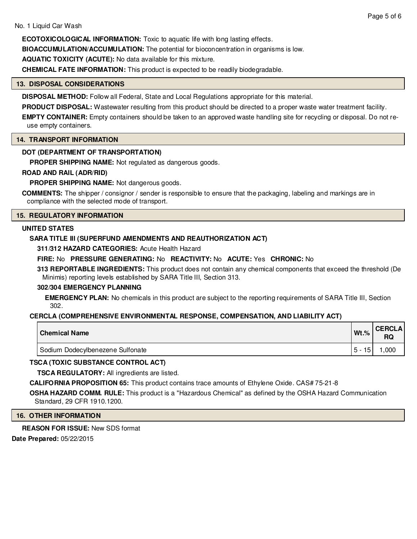**ECOTOXICOLOGICAL INFORMATION:** Toxic to aquatic life with long lasting effects.

**BIOACCUMULATION/ACCUMULATION:** The potential for bioconcentration in organisms is low.

**AQUATIC TOXICITY (ACUTE):** No data available for this mixture.

**CHEMICAL FATE INFORMATION:** This product is expected to be readily biodegradable.

## **13. DISPOSAL CONSIDERATIONS**

**DISPOSAL METHOD:** Follow all Federal, State and Local Regulations appropriate for this material.

**PRODUCT DISPOSAL:** Wastewater resulting from this product should be directed to a proper waste water treatment facility.

**EMPTY CONTAINER:** Empty containers should be taken to an approved waste handling site for recycling or disposal. Do not reuse empty containers.

## **14. TRANSPORT INFORMATION**

## **DOT (DEPARTMENT OF TRANSPORTATION)**

**PROPER SHIPPING NAME:** Not regulated as dangerous goods.

## **ROAD AND RAIL (ADR/RID)**

**PROPER SHIPPING NAME:** Not dangerous goods.

**COMMENTS:** The shipper / consignor / sender is responsible to ensure that the packaging, labeling and markings are in compliance with the selected mode of transport.

## **15. REGULATORY INFORMATION**

## **UNITED STATES**

## **SARA TITLE III (SUPERFUND AMENDMENTS AND REAUTHORIZATION ACT)**

**311/312 HAZARD CATEGORIES:** Acute Health Hazard

## **FIRE:** No **PRESSURE GENERATING:** No **REACTIVITY:** No **ACUTE:** Yes **CHRONIC:** No

**313 REPORTABLE INGREDIENTS:** This product does not contain any chemical components that exceed the threshold (De Minimis) reporting levels established by SARA Title III, Section 313.

## **302/304 EMERGENCY PLANNING**

**EMERGENCY PLAN:** No chemicals in this product are subject to the reporting requirements of SARA Title III, Section 302.

## **CERCLA (COMPREHENSIVE ENVIRONMENTAL RESPONSE, COMPENSATION, AND LIABILITY ACT)**

| <b>Chemical Name</b>                          | $Wt$ .%       | <b>CERCLA</b><br><b>RQ</b> |
|-----------------------------------------------|---------------|----------------------------|
| <sup>I</sup> Sodium Dodecylbenezene Sulfonate | $5 -$<br>15 i | ,000                       |

## **TSCA (TOXIC SUBSTANCE CONTROL ACT)**

**TSCA REGULATORY:** All ingredients are listed.

**CALIFORNIA PROPOSITION 65:** This product contains trace amounts of Ethylene Oxide. CAS# 75-21-8

**OSHA HAZARD COMM. RULE:** This product is a "Hazardous Chemical" as defined by the OSHA Hazard Communication Standard, 29 CFR 1910.1200.

## **16. OTHER INFORMATION**

**REASON FOR ISSUE:** New SDS format

**Date Prepared:** 05/22/2015